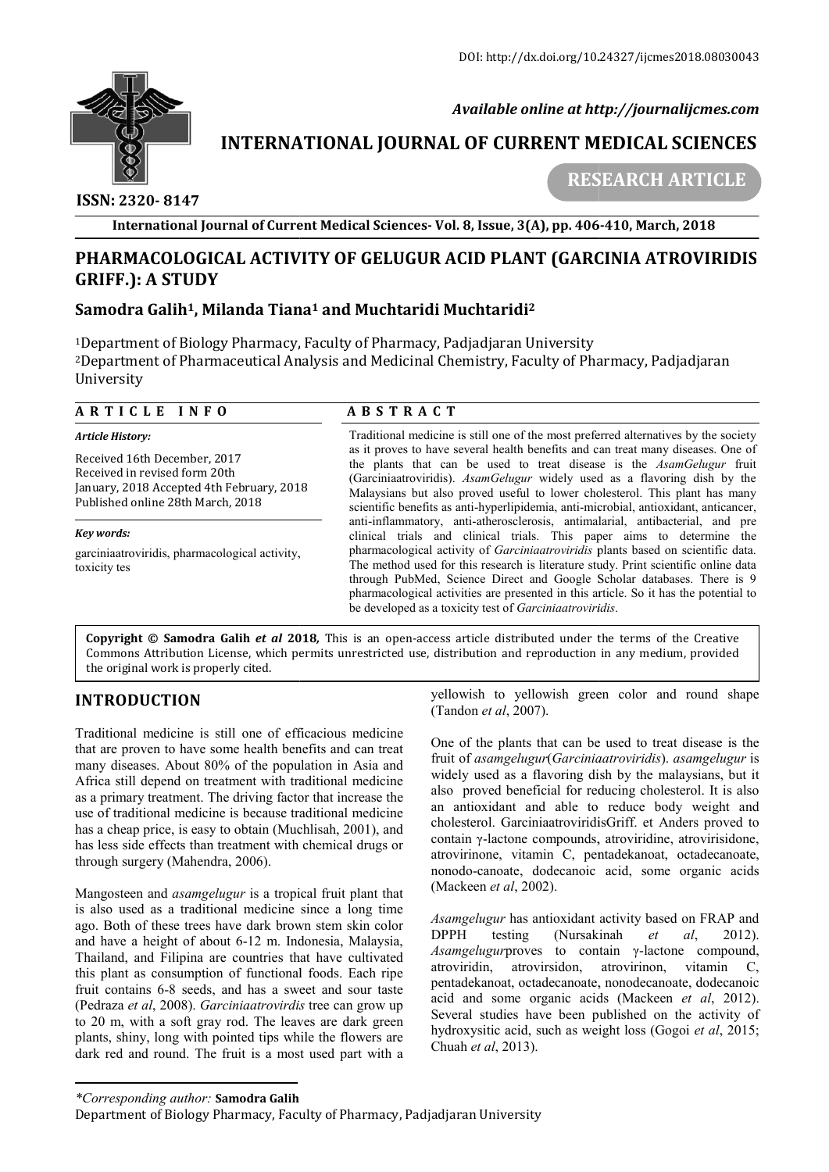

 *Available online at http://journalijcmes.com*

# **INTERNATIONAL JOURNAL OF CURRENT MEDICAL SCIENCES SCIENCES**

 **ISSN: 2320- 8147**

 **RESEARCH ARTICLE**

**International Journal of Current Medical Sciences Sciences- Vol. 8, Issue, 3(A), pp. 406 406-410, March, 2018**

## **PHARMACOLOGICAL ACTIVITY OF GELUGUR ACID PLANT (GARCINIA ATROVIRIDIS PHARMACOLOGICAL GRIFF.): A STUDY**

## **Samodra Galih1, Milanda Tiana , Tiana1 and Muchtaridi Muchtaridi2**

1Department of Biology Pharmacy, Faculty of Pharmacy, Padjadjaran University <sup>1</sup>Department of Biology Pharmacy, Faculty of Pharmacy, Padjadjaran University<br><sup>2</sup>Department of Pharmaceutical Analysis and Medicinal Chemistry, Faculty of Pharmacy, Padjadjaran University

| ARTICLE INFO                                                                                                                                    | <b>ABSTRACT</b>                                                                                                                                                                                                                                                                                                                                                                                                                                                                                                                                                                                                                                                |
|-------------------------------------------------------------------------------------------------------------------------------------------------|----------------------------------------------------------------------------------------------------------------------------------------------------------------------------------------------------------------------------------------------------------------------------------------------------------------------------------------------------------------------------------------------------------------------------------------------------------------------------------------------------------------------------------------------------------------------------------------------------------------------------------------------------------------|
| <b>Article History:</b>                                                                                                                         | Traditional medicine is still one of the most preferred alternatives by the society<br>as it proves to have several health benefits and can treat many diseases. One of<br>the plants that can be used to treat disease is the AsamGelugur fruit<br>(Garciniaatroviridis). AsamGelugur widely used as a flavoring dish by the<br>Malaysians but also proved useful to lower cholesterol. This plant has many<br>scientific benefits as anti-hyperlipidemia, anti-microbial, antioxidant, anticancer,<br>anti-inflammatory, anti-atherosclerosis, antimalarial, antibacterial, and pre<br>clinical trials and clinical trials. This paper aims to determine the |
| Received 16th December, 2017<br>Received in revised form 20th<br>January, 2018 Accepted 4th February, 2018<br>Published online 28th March, 2018 |                                                                                                                                                                                                                                                                                                                                                                                                                                                                                                                                                                                                                                                                |
| Key words:                                                                                                                                      |                                                                                                                                                                                                                                                                                                                                                                                                                                                                                                                                                                                                                                                                |
| garciniaatroviridis, pharmacological activity,<br>toxicity tes                                                                                  | pharmacological activity of <i>Garciniaatroviridis</i> plants based on scientific data.<br>The method used for this research is literature study. Print scientific online data<br>through PubMed, Science Direct and Google Scholar databases. There is 9<br>pharmacological activities are presented in this article. So it has the potential to<br>be developed as a toxicity test of <i>Garciniaatroviridis</i> .                                                                                                                                                                                                                                           |

**Copyright © Samodra Galih** *et al* **201 2018***,* This is an open-access article distributed under the terms of the Creative **Copyright © Samodra Galih** *et al* **2018,** This is an open-access article distributed under the terms of the Creative<br>Commons Attribution License, which permits unrestricted use, distribution and reproduction in any medium, the original work is properly cited.

## **INTRODUCTION**

Traditional medicine is still one of efficacious medicine that are proven to have some health benefits and can treat many diseases. About 80% of the population in Asia and Africa still depend on treatment with traditional medicine as a primary treatment. The driving factor that increase the use of traditional medicine is because traditional medicine has a cheap price, is easy to obtain (Muchlisah, 2001), and has less side effects than treatment with chemical drugs or through surgery (Mahendra, 2006).

Mangosteen and *asamgelugur* is a tropical fruit plant that is also used as a traditional medicine since a long time ago. Both of these trees have dark brown stem skin color and have a height of about 6-12 m. Indonesia, Malaysia, Thailand, and Filipina are countries that have cultivated this plant as consumption of functional foods. Each ripe and have a height of about 6-12 m. Indonesia, Malaysia, Thailand, and Filipina are countries that have cultivated this plant as consumption of functional foods. Each ripe fruit contains 6-8 seeds, and has a sweet and sour (Pedraza *et al*, 2008). *Garciniaatrovirdis* tree can grow up to 20 m, with a soft gray rod. The leaves are dark green plants, shiny, long with pointed tips while the flowers are dark red and round. The fruit is a most used part with a

yellowish to yellowish green color and round shape (Tandon *et al*, 2007). yellowish to yellowish green color and round shape (Tandon *et al*, 2007).<br>One of the plants that can be used to treat disease is the

fruit of *asamgelugur*(*Garciniaatroviridis Garciniaatroviridis*). *asamgelugur* is widely used as a flavoring dish by the malaysians, but it also proved beneficial for reducing cholesterol. It is also an antioxidant and able to reduce body weight and cholesterol. GarciniaatroviridisGriff. et Anders proved to contain γ-lactone compounds, atroviridine, atrovirisidone, atrovirinone, vitamin C, pentadekanoat, octadecanoate, nonodo-canoate, dodecanoic acid, some organic acids (Mackeen *et al*, 2002). widely used as a flavoring dish by the malaysians, but it<br>also proved beneficial for reducing cholesterol. It is also<br>an antioxidant and able to reduce body weight and<br>cholesterol. GarciniaatroviridisGriff. et Anders prove γ-lactone compounds, atroviridine, atrovirisidone,<br>ione, vitamin C, pentadekanoat, octadecanoate,<br>canoate, dodecanoic acid, some organic acids<br>an *et al*, 2002).<br>*lugur* has antioxidant activity based on FRAP and<br>testing

*Asamgelugur* has antioxidant activity based on FRAP and DPPH testing (Nursakinah Asamgelugurproves to contain γ-lactone compound, atroviridin, atrovirsidon, atrovirinon, vitamin C, pentadekanoat, octadecanoate, nonodecanoate, dodecanoic pentadekanoat, octadecanoate, nonodecanoate, dodecanoic<br>acid and some organic acids (Mackeen *et al*, 2012). Several studies have been published on the activity of hydroxysitic acid, such as weight loss *(Gogoi et al, 2015;* Chuah *et al*, 2013).

*<sup>\*</sup>Corresponding author:* **Samodra Galih**

Department of Biology Pharmacy, Faculty of Pharmacy, Padjadjaran University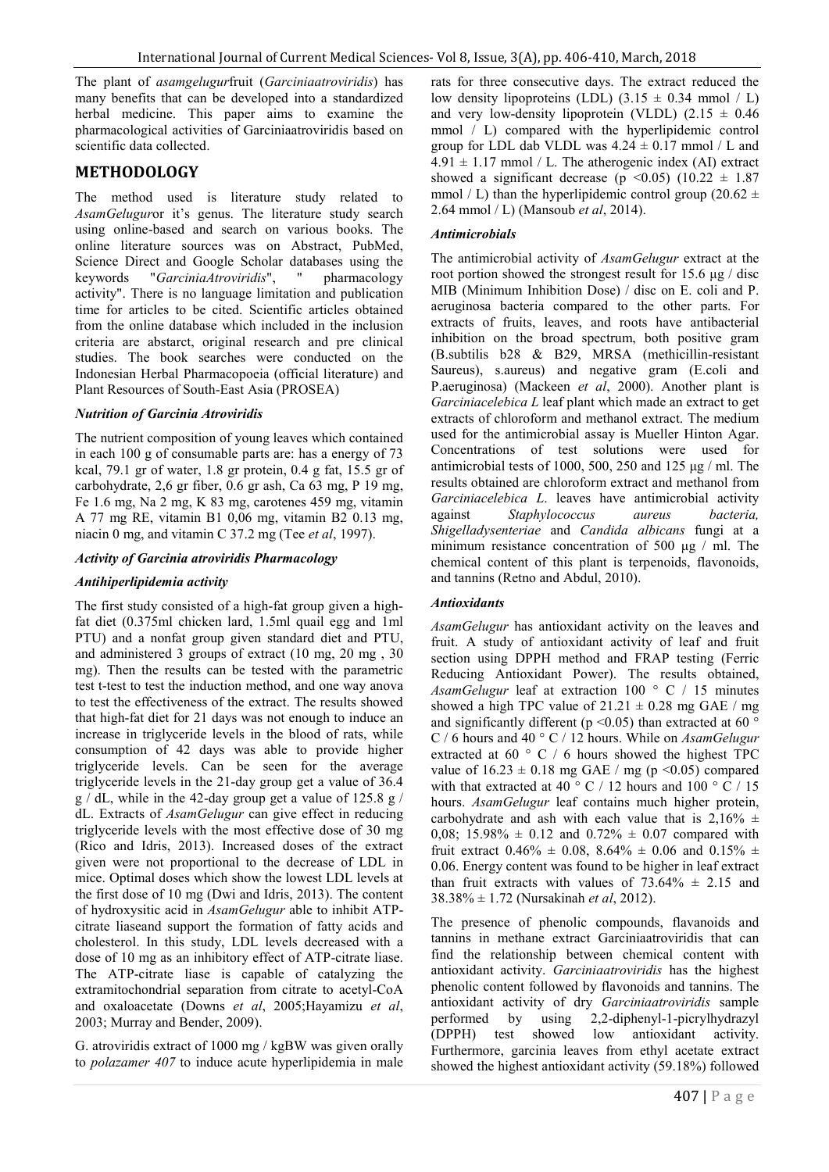The plant of *asamgelugur*fruit (*Garciniaatroviridis*) has many benefits that can be developed into a standardized herbal medicine. This paper aims to examine the pharmacological activities of Garciniaatroviridis based on scientific data collected.

### **METHODOLOGY**

The method used is literature study related to *AsamGelugur*or it's genus. The literature study search using online-based and search on various books. The online literature sources was on Abstract, PubMed, Science Direct and Google Scholar databases using the keywords "*GarciniaAtroviridis*", " pharmacology activity". There is no language limitation and publication time for articles to be cited. Scientific articles obtained from the online database which included in the inclusion criteria are abstarct, original research and pre clinical studies. The book searches were conducted on the Indonesian Herbal Pharmacopoeia (official literature) and Plant Resources of South-East Asia (PROSEA)

#### *Nutrition of Garcinia Atroviridis*

The nutrient composition of young leaves which contained in each 100 g of consumable parts are: has a energy of 73 kcal, 79.1 gr of water, 1.8 gr protein, 0.4 g fat, 15.5 gr of carbohydrate, 2,6 gr fiber, 0.6 gr ash, Ca 63 mg, P 19 mg, Fe 1.6 mg, Na 2 mg, K 83 mg, carotenes 459 mg, vitamin A 77 mg RE, vitamin B1 0,06 mg, vitamin B2 0.13 mg, niacin 0 mg, and vitamin C 37.2 mg (Tee *et al*, 1997).

#### *Activity of Garcinia atroviridis Pharmacology*

#### *Antihiperlipidemia activity*

The first study consisted of a high-fat group given a highfat diet (0.375ml chicken lard, 1.5ml quail egg and 1ml PTU) and a nonfat group given standard diet and PTU, and administered 3 groups of extract (10 mg, 20 mg , 30 mg). Then the results can be tested with the parametric test t-test to test the induction method, and one way anova to test the effectiveness of the extract. The results showed that high-fat diet for 21 days was not enough to induce an increase in triglyceride levels in the blood of rats, while consumption of 42 days was able to provide higher triglyceride levels. Can be seen for the average triglyceride levels in the 21-day group get a value of 36.4 g / dL, while in the 42-day group get a value of 125.8 g / dL. Extracts of *AsamGelugur* can give effect in reducing triglyceride levels with the most effective dose of 30 mg (Rico and Idris, 2013). Increased doses of the extract given were not proportional to the decrease of LDL in mice. Optimal doses which show the lowest LDL levels at the first dose of 10 mg (Dwi and Idris, 2013). The content of hydroxysitic acid in *AsamGelugur* able to inhibit ATPcitrate liaseand support the formation of fatty acids and cholesterol. In this study, LDL levels decreased with a dose of 10 mg as an inhibitory effect of ATP-citrate liase. The ATP-citrate liase is capable of catalyzing the extramitochondrial separation from citrate to acetyl-CoA and oxaloacetate (Downs *et al*, 2005;Hayamizu *et al*, 2003; Murray and Bender, 2009).

G. atroviridis extract of 1000 mg / kgBW was given orally to *polazamer 407* to induce acute hyperlipidemia in male rats for three consecutive days. The extract reduced the low density lipoproteins (LDL)  $(3.15 \pm 0.34 \text{ mmol} / \text{L})$ and very low-density lipoprotein (VLDL)  $(2.15 \pm 0.46)$ mmol / L) compared with the hyperlipidemic control group for LDL dab VLDL was  $4.24 \pm 0.17$  mmol / L and  $4.91 \pm 1.17$  mmol / L. The atherogenic index (AI) extract showed a significant decrease (p <0.05) (10.22  $\pm$  1.87 mmol / L) than the hyperlipidemic control group (20.62  $\pm$ 2.64 mmol / L) (Mansoub *et al*, 2014).

#### *Antimicrobials*

The antimicrobial activity of *AsamGelugur* extract at the root portion showed the strongest result for 15.6 μg / disc MIB (Minimum Inhibition Dose) / disc on E. coli and P. aeruginosa bacteria compared to the other parts. For extracts of fruits, leaves, and roots have antibacterial inhibition on the broad spectrum, both positive gram (B.subtilis b28 & B29, MRSA (methicillin-resistant Saureus), s.aureus) and negative gram (E.coli and P.aeruginosa) (Mackeen *et al*, 2000). Another plant is *Garciniacelebica L* leaf plant which made an extract to get extracts of chloroform and methanol extract. The medium used for the antimicrobial assay is Mueller Hinton Agar. Concentrations of test solutions were used for antimicrobial tests of 1000, 500, 250 and 125 μg / ml. The results obtained are chloroform extract and methanol from *Garciniacelebica L*. leaves have antimicrobial activity against *Staphylococcus aureus bacteria, Shigelladysenteriae* and *Candida albicans* fungi at a minimum resistance concentration of 500 μg / ml. The chemical content of this plant is terpenoids, flavonoids, and tannins (Retno and Abdul, 2010).

#### *Antioxidants*

*AsamGelugur* has antioxidant activity on the leaves and fruit. A study of antioxidant activity of leaf and fruit section using DPPH method and FRAP testing (Ferric Reducing Antioxidant Power). The results obtained, *AsamGelugur* leaf at extraction 100 ° C / 15 minutes showed a high TPC value of  $21.21 \pm 0.28$  mg GAE / mg and significantly different ( $p \le 0.05$ ) than extracted at 60  $\degree$ C / 6 hours and 40 ° C / 12 hours. While on *AsamGelugur* extracted at 60 $\degree$  C / 6 hours showed the highest TPC value of  $16.23 \pm 0.18$  mg GAE / mg (p < 0.05) compared with that extracted at 40 ° C / 12 hours and 100 ° C / 15 hours. *AsamGelugur* leaf contains much higher protein, carbohydrate and ash with each value that is  $2,16\% \pm$ 0,08; 15.98%  $\pm$  0.12 and 0.72%  $\pm$  0.07 compared with fruit extract  $0.46\% \pm 0.08$ ,  $8.64\% \pm 0.06$  and  $0.15\% \pm 0.06$ 0.06. Energy content was found to be higher in leaf extract than fruit extracts with values of  $73.64\% \pm 2.15$  and 38.38% ± 1.72 (Nursakinah *et al*, 2012).

The presence of phenolic compounds, flavanoids and tannins in methane extract Garciniaatroviridis that can find the relationship between chemical content with antioxidant activity. *Garciniaatroviridis* has the highest phenolic content followed by flavonoids and tannins. The antioxidant activity of dry *Garciniaatroviridis* sample performed by using 2,2-diphenyl-1-picrylhydrazyl (DPPH) test showed low antioxidant activity. Furthermore, garcinia leaves from ethyl acetate extract showed the highest antioxidant activity (59.18%) followed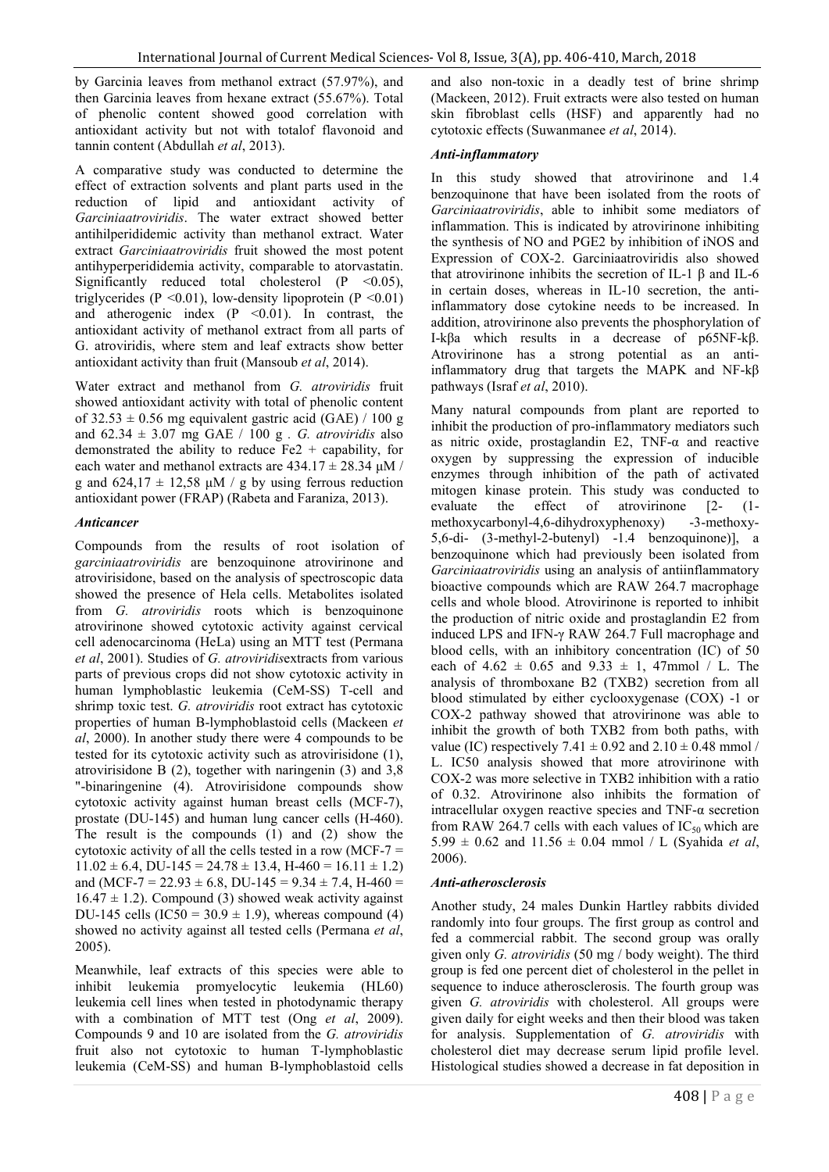by Garcinia leaves from methanol extract (57.97%), and then Garcinia leaves from hexane extract (55.67%). Total of phenolic content showed good correlation with antioxidant activity but not with totalof flavonoid and tannin content (Abdullah *et al*, 2013).

A comparative study was conducted to determine the effect of extraction solvents and plant parts used in the reduction of lipid and antioxidant activity of *Garciniaatroviridis*. The water extract showed better antihilperididemic activity than methanol extract. Water extract *Garciniaatroviridis* fruit showed the most potent antihyperperididemia activity, comparable to atorvastatin. Significantly reduced total cholesterol  $(P \le 0.05)$ , triglycerides (P < 0.01), low-density lipoprotein (P < 0.01) and atherogenic index  $(P \le 0.01)$ . In contrast, the antioxidant activity of methanol extract from all parts of G. atroviridis, where stem and leaf extracts show better antioxidant activity than fruit (Mansoub *et al*, 2014).

Water extract and methanol from *G. atroviridis* fruit showed antioxidant activity with total of phenolic content of  $32.53 \pm 0.56$  mg equivalent gastric acid (GAE) / 100 g and 62.34 ± 3.07 mg GAE / 100 g *. G. atroviridis* also demonstrated the ability to reduce  $Fe2 + capability$ , for each water and methanol extracts are  $434.17 \pm 28.34 \text{ }\mu\text{M}$  / g and  $624.17 \pm 12.58$   $\mu$ M / g by using ferrous reduction antioxidant power (FRAP) (Rabeta and Faraniza, 2013).

#### *Anticancer*

Compounds from the results of root isolation of *garciniaatroviridis* are benzoquinone atrovirinone and atrovirisidone, based on the analysis of spectroscopic data showed the presence of Hela cells. Metabolites isolated from *G. atroviridis* roots which is benzoquinone atrovirinone showed cytotoxic activity against cervical cell adenocarcinoma (HeLa) using an MTT test (Permana *et al*, 2001). Studies of *G. atroviridis*extracts from various parts of previous crops did not show cytotoxic activity in human lymphoblastic leukemia (CeM-SS) T-cell and shrimp toxic test. *G. atroviridis* root extract has cytotoxic properties of human B-lymphoblastoid cells (Mackeen *et al*, 2000). In another study there were 4 compounds to be tested for its cytotoxic activity such as atrovirisidone (1), atrovirisidone B (2), together with naringenin (3) and 3,8 "-binaringenine (4). Atrovirisidone compounds show cytotoxic activity against human breast cells (MCF-7), prostate (DU-145) and human lung cancer cells (H-460). The result is the compounds (1) and (2) show the cytotoxic activity of all the cells tested in a row (MCF-7  $=$  $11.02 \pm 6.4$ , DU-145 = 24.78  $\pm$  13.4, H-460 = 16.11  $\pm$  1.2) and (MCF-7 = 22.93  $\pm$  6.8, DU-145 = 9.34  $\pm$  7.4, H-460 =  $16.47 \pm 1.2$ ). Compound (3) showed weak activity against DU-145 cells  $(IC50 = 30.9 \pm 1.9)$ , whereas compound (4) showed no activity against all tested cells (Permana *et al*, 2005).

Meanwhile, leaf extracts of this species were able to inhibit leukemia promyelocytic leukemia (HL60) leukemia cell lines when tested in photodynamic therapy with a combination of MTT test (Ong *et al*, 2009). Compounds 9 and 10 are isolated from the *G. atroviridis* fruit also not cytotoxic to human T-lymphoblastic leukemia (CeM-SS) and human B-lymphoblastoid cells

and also non-toxic in a deadly test of brine shrimp (Mackeen, 2012). Fruit extracts were also tested on human skin fibroblast cells (HSF) and apparently had no cytotoxic effects (Suwanmanee *et al*, 2014).

#### *Anti-inflammatory*

In this study showed that atrovirinone and 1.4 benzoquinone that have been isolated from the roots of *Garciniaatroviridis*, able to inhibit some mediators of inflammation. This is indicated by atrovirinone inhibiting the synthesis of NO and PGE2 by inhibition of iNOS and Expression of COX-2. Garciniaatroviridis also showed that atrovirinone inhibits the secretion of IL-1 β and IL-6 in certain doses, whereas in IL-10 secretion, the antiinflammatory dose cytokine needs to be increased. In addition, atrovirinone also prevents the phosphorylation of I-kβa which results in a decrease of p65NF-kβ. Atrovirinone has a strong potential as an antiinflammatory drug that targets the MAPK and NF-kβ pathways (Israf *et al*, 2010).

Many natural compounds from plant are reported to inhibit the production of pro-inflammatory mediators such as nitric oxide, prostaglandin E2, TNF-α and reactive oxygen by suppressing the expression of inducible enzymes through inhibition of the path of activated mitogen kinase protein. This study was conducted to evaluate the effect of atrovirinone [2- (1 methoxycarbonyl-4,6-dihydroxyphenoxy) -3-methoxy-5,6-di- (3-methyl-2-butenyl) -1.4 benzoquinone)], a benzoquinone which had previously been isolated from *Garciniaatroviridis* using an analysis of antiinflammatory bioactive compounds which are RAW 264.7 macrophage cells and whole blood. Atrovirinone is reported to inhibit the production of nitric oxide and prostaglandin E2 from induced LPS and IFN-γ RAW 264.7 Full macrophage and blood cells, with an inhibitory concentration (IC) of 50 each of  $4.62 \pm 0.65$  and  $9.33 \pm 1$ , 47mmol / L. The analysis of thromboxane B2 (TXB2) secretion from all blood stimulated by either cyclooxygenase (COX) -1 or COX-2 pathway showed that atrovirinone was able to inhibit the growth of both TXB2 from both paths, with value (IC) respectively 7.41  $\pm$  0.92 and 2.10  $\pm$  0.48 mmol / L. IC50 analysis showed that more atrovirinone with COX-2 was more selective in TXB2 inhibition with a ratio of 0.32. Atrovirinone also inhibits the formation of intracellular oxygen reactive species and TNF- $\alpha$  secretion from RAW 264.7 cells with each values of  $IC_{50}$  which are 5.99  $\pm$  0.62 and 11.56  $\pm$  0.04 mmol / L (Syahida *et al*, 2006).

#### *Anti-atherosclerosis*

Another study, 24 males Dunkin Hartley rabbits divided randomly into four groups. The first group as control and fed a commercial rabbit. The second group was orally given only *G. atroviridis* (50 mg / body weight). The third group is fed one percent diet of cholesterol in the pellet in sequence to induce atherosclerosis. The fourth group was given *G. atroviridis* with cholesterol. All groups were given daily for eight weeks and then their blood was taken for analysis. Supplementation of *G. atroviridis* with cholesterol diet may decrease serum lipid profile level. Histological studies showed a decrease in fat deposition in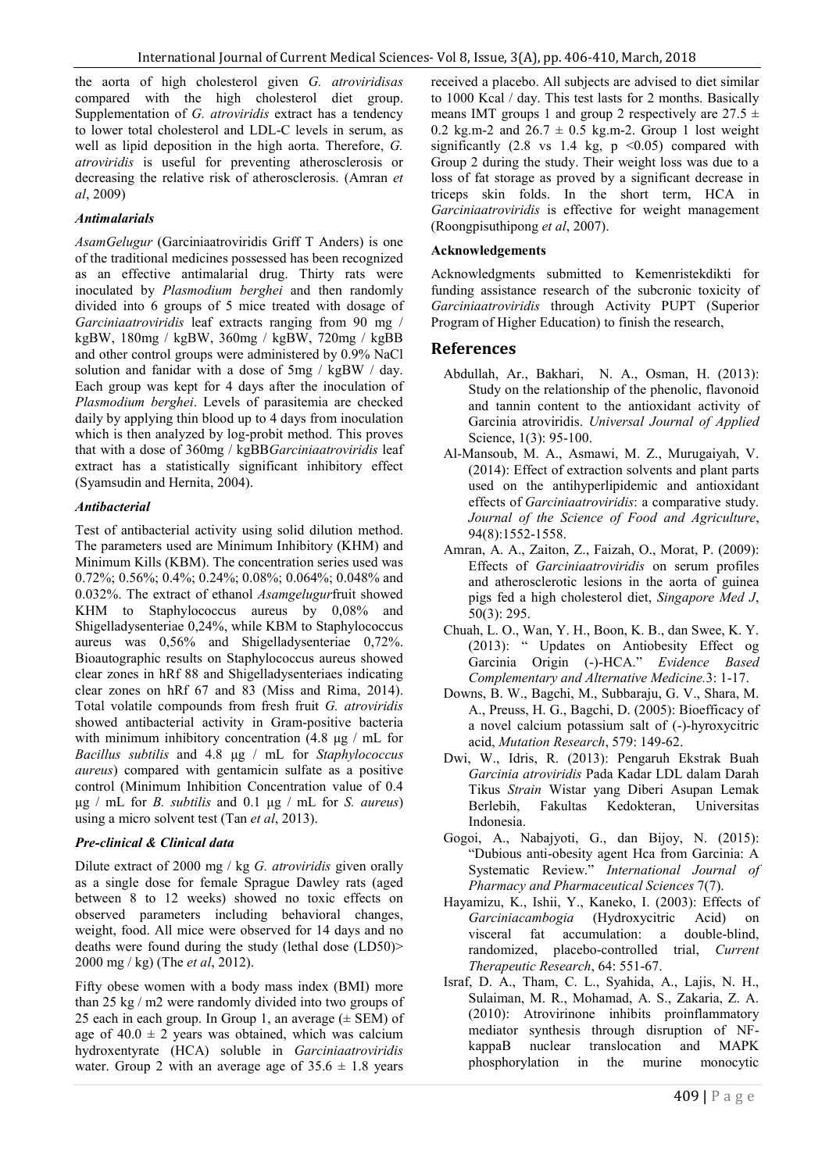the aorta of high cholesterol given *G. atroviridisas* compared with the high cholesterol diet group. Supplementation of *G. atroviridis* extract has a tendency to lower total cholesterol and LDL-C levels in serum, as well as lipid deposition in the high aorta. Therefore, *G. atroviridis* is useful for preventing atherosclerosis or decreasing the relative risk of atherosclerosis. (Amran *et al*, 2009)

#### *Antimalarials*

*AsamGelugur* (Garciniaatroviridis Griff T Anders) is one of the traditional medicines possessed has been recognized as an effective antimalarial drug. Thirty rats were inoculated by *Plasmodium berghei* and then randomly divided into 6 groups of 5 mice treated with dosage of *Garciniaatroviridis* leaf extracts ranging from 90 mg / kgBW, 180mg / kgBW, 360mg / kgBW, 720mg / kgBB and other control groups were administered by 0.9% NaCl solution and fanidar with a dose of 5mg / kgBW / day. Each group was kept for 4 days after the inoculation of *Plasmodium berghei*. Levels of parasitemia are checked daily by applying thin blood up to 4 days from inoculation which is then analyzed by log-probit method. This proves that with a dose of 360mg / kgBB*Garciniaatroviridis* leaf extract has a statistically significant inhibitory effect (Syamsudin and Hernita, 2004).

#### *Antibacterial*

Test of antibacterial activity using solid dilution method. The parameters used are Minimum Inhibitory (KHM) and Minimum Kills (KBM). The concentration series used was 0.72%; 0.56%; 0.4%; 0.24%; 0.08%; 0.064%; 0.048% and 0.032%. The extract of ethanol *Asamgelugur*fruit showed KHM to Staphylococcus aureus by 0,08% and Shigelladysenteriae 0,24%, while KBM to Staphylococcus aureus was 0,56% and Shigelladysenteriae 0,72%. Bioautographic results on Staphylococcus aureus showed clear zones in hRf 88 and Shigelladysenteriaes indicating clear zones on hRf 67 and 83 (Miss and Rima, 2014). Total volatile compounds from fresh fruit *G. atroviridis* showed antibacterial activity in Gram-positive bacteria with minimum inhibitory concentration (4.8 μg / mL for *Bacillus subtilis* and 4.8 μg / mL for *Staphylococcus aureus*) compared with gentamicin sulfate as a positive control (Minimum Inhibition Concentration value of 0.4 μg / mL for *B. subtilis* and 0.1 μg / mL for *S. aureus*) using a micro solvent test (Tan *et al*, 2013).

### *Pre-clinical & Clinical data*

Dilute extract of 2000 mg / kg *G. atroviridis* given orally as a single dose for female Sprague Dawley rats (aged between 8 to 12 weeks) showed no toxic effects on observed parameters including behavioral changes, weight, food. All mice were observed for 14 days and no deaths were found during the study (lethal dose (LD50)> 2000 mg / kg) (The *et al*, 2012).

Fifty obese women with a body mass index (BMI) more than 25 kg / m2 were randomly divided into two groups of 25 each in each group. In Group 1, an average  $(\pm$  SEM) of age of  $40.0 \pm 2$  years was obtained, which was calcium hydroxentyrate (HCA) soluble in *Garciniaatroviridis* water. Group 2 with an average age of  $35.6 \pm 1.8$  years received a placebo. All subjects are advised to diet similar to 1000 Kcal / day. This test lasts for 2 months. Basically means IMT groups 1 and group 2 respectively are  $27.5 \pm$ 0.2 kg.m-2 and  $26.7 \pm 0.5$  kg.m-2. Group 1 lost weight significantly  $(2.8 \text{ vs } 1.4 \text{ kg}, p \le 0.05)$  compared with Group 2 during the study. Their weight loss was due to a loss of fat storage as proved by a significant decrease in triceps skin folds. In the short term, HCA in *Garciniaatroviridis* is effective for weight management (Roongpisuthipong *et al*, 2007).

#### **Acknowledgements**

Acknowledgments submitted to Kemenristekdikti for funding assistance research of the subcronic toxicity of *Garciniaatroviridis* through Activity PUPT (Superior Program of Higher Education) to finish the research,

### **References**

- Abdullah, Ar., Bakhari, N. A., Osman, H. (2013): Study on the relationship of the phenolic, flavonoid and tannin content to the antioxidant activity of Garcinia atroviridis. *Universal Journal of Applied*  Science, 1(3): 95-100.
- Al-Mansoub, M. A., Asmawi, M. Z., Murugaiyah, V. (2014): Effect of extraction solvents and plant parts used on the antihyperlipidemic and antioxidant effects of *Garciniaatroviridis*: a comparative study. *Journal of the Science of Food and Agriculture*, 94(8):1552-1558.
- Amran, A. A., Zaiton, Z., Faizah, O., Morat, P. (2009): Effects of *Garciniaatroviridis* on serum profiles and atherosclerotic lesions in the aorta of guinea pigs fed a high cholesterol diet, *Singapore Med J*, 50(3): 295.
- Chuah, L. O., Wan, Y. H., Boon, K. B., dan Swee, K. Y. (2013): " Updates on Antiobesity Effect og Garcinia Origin (-)-HCA." *Evidence Based Complementary and Alternative Medicine.*3: 1-17.
- Downs, B. W., Bagchi, M., Subbaraju, G. V., Shara, M. A., Preuss, H. G., Bagchi, D. (2005): Bioefficacy of a novel calcium potassium salt of (-)-hyroxycitric acid, *Mutation Research*, 579: 149-62.
- Dwi, W., Idris, R. (2013): Pengaruh Ekstrak Buah *Garcinia atroviridis* Pada Kadar LDL dalam Darah Tikus *Strain* Wistar yang Diberi Asupan Lemak Berlebih, Fakultas Kedokteran, Universitas Indonesia.
- Gogoi, A., Nabajyoti, G., dan Bijoy, N. (2015): "Dubious anti-obesity agent Hca from Garcinia: A Systematic Review." *International Journal of Pharmacy and Pharmaceutical Sciences* 7(7).
- Hayamizu, K., Ishii, Y., Kaneko, I. (2003): Effects of *Garciniacambogia* (Hydroxycitric Acid) on visceral fat accumulation: a double-blind, randomized, placebo-controlled trial, *Current Therapeutic Research*, 64: 551-67.
- Israf, D. A., Tham, C. L., Syahida, A., Lajis, N. H., Sulaiman, M. R., Mohamad, A. S., Zakaria, Z. A. (2010): Atrovirinone inhibits proinflammatory mediator synthesis through disruption of NFkappaB nuclear translocation and MAPK phosphorylation in the murine monocytic